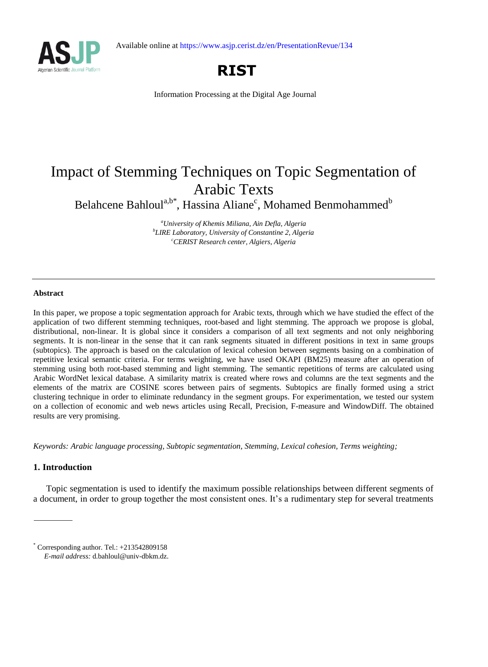Available online at https://www.asjp.cerist.dz/en/PresentationRevue/134





Information Processing at the Digital Age Journal

# Impact of Stemming Techniques on Topic Segmentation of Arabic Texts

Belahcene Bahloul<sup>a,b\*</sup>, Hassina Aliane<sup>c</sup>, Mohamed Benmohammed<sup>b</sup>

*<sup>a</sup>University of Khemis Miliana, Ain Defla, Algeria b LIRE Laboratory, University of Constantine 2, Algeria <sup>c</sup>CERIST Research center, Algiers, Algeria*

# **Abstract**

In this paper, we propose a topic segmentation approach for Arabic texts, through which we have studied the effect of the application of two different stemming techniques, root-based and light stemming. The approach we propose is global, distributional, non-linear. It is global since it considers a comparison of all text segments and not only neighboring segments. It is non-linear in the sense that it can rank segments situated in different positions in text in same groups (subtopics). The approach is based on the calculation of lexical cohesion between segments basing on a combination of repetitive lexical semantic criteria. For terms weighting, we have used OKAPI (BM25) measure after an operation of stemming using both root-based stemming and light stemming. The semantic repetitions of terms are calculated using Arabic WordNet lexical database. A similarity matrix is created where rows and columns are the text segments and the elements of the matrix are COSINE scores between pairs of segments. Subtopics are finally formed using a strict clustering technique in order to eliminate redundancy in the segment groups. For experimentation, we tested our system on a collection of economic and web news articles using Recall, Precision, F-measure and WindowDiff. The obtained results are very promising.

*Keywords: Arabic language processing, Subtopic segmentation, Stemming, Lexical cohesion, Terms weighting;*

# **1. Introduction**

Topic segmentation is used to identify the maximum possible relationships between different segments of a document, in order to group together the most consistent ones. It's a rudimentary step for several treatments

 $*$  Corresponding author. Tel.:  $+213542809158$ *E-mail address:* d.bahloul@univ-dbkm.dz.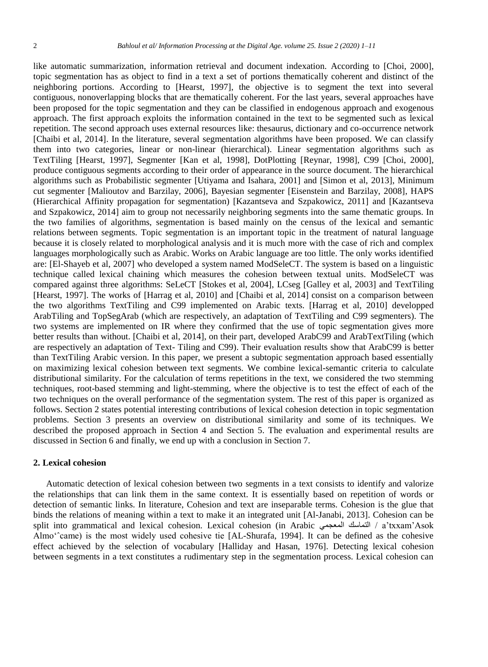like automatic summarization, information retrieval and document indexation. According to [Choi, 2000], topic segmentation has as object to find in a text a set of portions thematically coherent and distinct of the neighboring portions. According to [Hearst, 1997], the objective is to segment the text into several contiguous, nonoverlapping blocks that are thematically coherent. For the last years, several approaches have been proposed for the topic segmentation and they can be classified in endogenous approach and exogenous approach. The first approach exploits the information contained in the text to be segmented such as lexical repetition. The second approach uses external resources like: thesaurus, dictionary and co-occurrence network [Chaibi et al, 2014]. In the literature, several segmentation algorithms have been proposed. We can classify them into two categories, linear or non-linear (hierarchical). Linear segmentation algorithms such as TextTiling [Hearst, 1997], Segmenter [Kan et al, 1998], DotPlotting [Reynar, 1998], C99 [Choi, 2000], produce contiguous segments according to their order of appearance in the source document. The hierarchical algorithms such as Probabilistic segmenter [Utiyama and Isahara, 2001] and [Simon et al, 2013], Minimum cut segmenter [Malioutov and Barzilay, 2006], Bayesian segmenter [Eisenstein and Barzilay, 2008], HAPS (Hierarchical Affinity propagation for segmentation) [Kazantseva and Szpakowicz, 2011] and [Kazantseva and Szpakowicz, 2014] aim to group not necessarily neighboring segments into the same thematic groups. In the two families of algorithms, segmentation is based mainly on the census of the lexical and semantic relations between segments. Topic segmentation is an important topic in the treatment of natural language because it is closely related to morphological analysis and it is much more with the case of rich and complex languages morphologically such as Arabic. Works on Arabic language are too little. The only works identified are: [El-Shayeb et al, 2007] who developed a system named ModSeleCT. The system is based on a linguistic technique called lexical chaining which measures the cohesion between textual units. ModSeleCT was compared against three algorithms: SeLeCT [Stokes et al, 2004], LCseg [Galley et al, 2003] and TextTiling [Hearst, 1997]. The works of [Harrag et al, 2010] and [Chaibi et al, 2014] consist on a comparison between the two algorithms TextTiling and C99 implemented on Arabic texts. [Harrag et al, 2010] developped ArabTiling and TopSegArab (which are respectively, an adaptation of TextTiling and C99 segmenters). The two systems are implemented on IR where they confirmed that the use of topic segmentation gives more better results than without. [Chaibi et al, 2014], on their part, developed ArabC99 and ArabTextTiling (which are respectively an adaptation of Text- Tiling and C99). Their evaluation results show that ArabC99 is better than TextTiling Arabic version. In this paper, we present a subtopic segmentation approach based essentially on maximizing lexical cohesion between text segments. We combine lexical-semantic criteria to calculate distributional similarity. For the calculation of terms repetitions in the text, we considered the two stemming techniques, root-based stemming and light-stemming, where the objective is to test the effect of each of the two techniques on the overall performance of the segmentation system. The rest of this paper is organized as follows. Section 2 states potential interesting contributions of lexical cohesion detection in topic segmentation problems. Section 3 presents an overview on distributional similarity and some of its techniques. We described the proposed approach in Section 4 and Section 5. The evaluation and experimental results are discussed in Section 6 and finally, we end up with a conclusion in Section 7.

## **2. Lexical cohesion**

Automatic detection of lexical cohesion between two segments in a text consists to identify and valorize the relationships that can link them in the same context. It is essentially based on repetition of words or detection of semantic links. In literature, Cohesion and text are inseparable terms. Cohesion is the glue that binds the relations of meaning within a text to make it an integrated unit [Al-Janabi, 2013]. Cohesion can be split into grammatical and lexical cohesion. Lexical cohesion (in Arabic المعجمي التماسك / a'txxam'Asok Almo'came) is the most widely used cohesive tie [AL-Shurafa, 1994]. It can be defined as the cohesive effect achieved by the selection of vocabulary [Halliday and Hasan, 1976]. Detecting lexical cohesion between segments in a text constitutes a rudimentary step in the segmentation process. Lexical cohesion can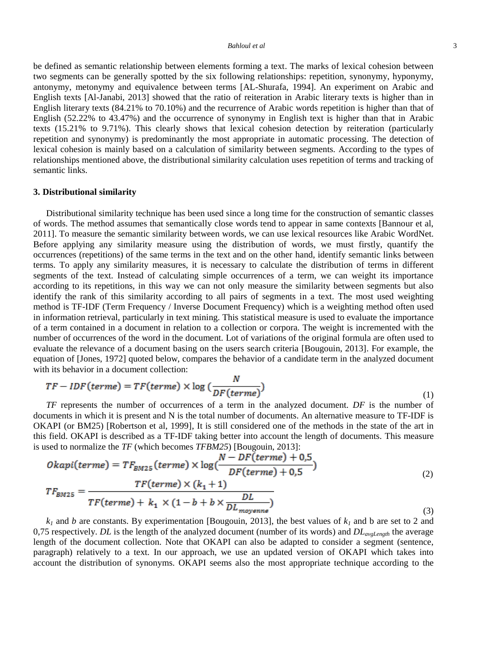be defined as semantic relationship between elements forming a text. The marks of lexical cohesion between two segments can be generally spotted by the six following relationships: repetition, synonymy, hyponymy, antonymy, metonymy and equivalence between terms [AL-Shurafa, 1994]. An experiment on Arabic and English texts [Al-Janabi, 2013] showed that the ratio of reiteration in Arabic literary texts is higher than in English literary texts (84.21% to 70.10%) and the recurrence of Arabic words repetition is higher than that of English (52.22% to 43.47%) and the occurrence of synonymy in English text is higher than that in Arabic texts (15.21% to 9.71%). This clearly shows that lexical cohesion detection by reiteration (particularly repetition and synonymy) is predominantly the most appropriate in automatic processing. The detection of lexical cohesion is mainly based on a calculation of similarity between segments. According to the types of relationships mentioned above, the distributional similarity calculation uses repetition of terms and tracking of semantic links.

#### **3. Distributional similarity**

Distributional similarity technique has been used since a long time for the construction of semantic classes of words. The method assumes that semantically close words tend to appear in same contexts [Bannour et al, 2011]. To measure the semantic similarity between words, we can use lexical resources like Arabic WordNet. Before applying any similarity measure using the distribution of words, we must firstly, quantify the occurrences (repetitions) of the same terms in the text and on the other hand, identify semantic links between terms. To apply any similarity measures, it is necessary to calculate the distribution of terms in different segments of the text. Instead of calculating simple occurrences of a term, we can weight its importance according to its repetitions, in this way we can not only measure the similarity between segments but also identify the rank of this similarity according to all pairs of segments in a text. The most used weighting method is TF-IDF (Term Frequency / Inverse Document Frequency) which is a weighting method often used in information retrieval, particularly in text mining. This statistical measure is used to evaluate the importance of a term contained in a document in relation to a collection or corpora. The weight is incremented with the number of occurrences of the word in the document. Lot of variations of the original formula are often used to evaluate the relevance of a document basing on the users search criteria [Bougouin, 2013]. For example, the equation of [Jones, 1972] quoted below, compares the behavior of a candidate term in the analyzed document with its behavior in a document collection:

$$
TF - IDF(\text{terme}) = TF(\text{terme}) \times \log\left(\frac{N}{DF(\text{terme})}\right) \tag{1}
$$

*TF* represents the number of occurrences of a term in the analyzed document. *DF* is the number of documents in which it is present and N is the total number of documents. An alternative measure to TF-IDF is OKAPI (or BM25) [Robertson et al, 1999], It is still considered one of the methods in the state of the art in this field. OKAPI is described as a TF-IDF taking better into account the length of documents. This measure is used to normalize the *TF* (which becomes *TFBM25*) [Bougouin, 2013]:

$$
Okapi(terme) = TF_{BM25}(terme) \times \log\left(\frac{N - DF(terme) + 0.5}{DF(terme) + 0.5}\right)
$$
  

$$
TF_{BM25} = \frac{TF(terme) \times (k_1 + 1)}{TF(terme) + k_1 \times (1 - b + b \times \frac{DL}{DL_{moyenne}})}
$$
(3)

 $k_1$  and *b* are constants. By experimentation [Bougouin, 2013], the best values of  $k_1$  and b are set to 2 and 0,75 respectively. *DL* is the length of the analyzed document (number of its words) and *DLavgLength* the average length of the document collection. Note that OKAPI can also be adapted to consider a segment (sentence, paragraph) relatively to a text. In our approach, we use an updated version of OKAPI which takes into account the distribution of synonyms. OKAPI seems also the most appropriate technique according to the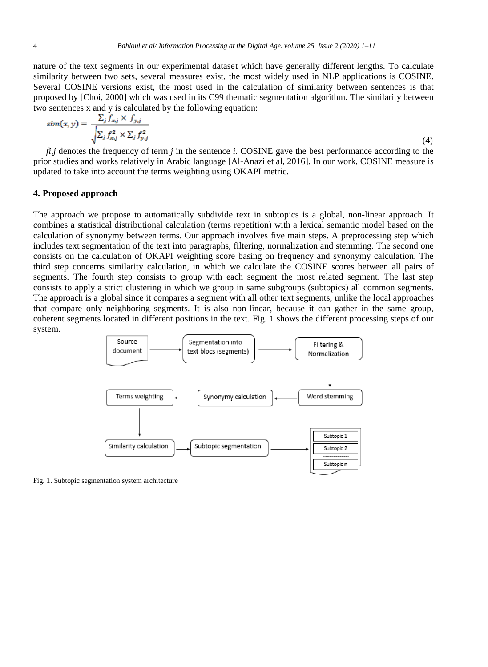nature of the text segments in our experimental dataset which have generally different lengths. To calculate similarity between two sets, several measures exist, the most widely used in NLP applications is COSINE. Several COSINE versions exist, the most used in the calculation of similarity between sentences is that proposed by [Choi, 2000] which was used in its C99 thematic segmentation algorithm. The similarity between two sentences x and y is calculated by the following equation:

$$
sim(x,y) = \frac{\sum_{j} f_{x,j} \times f_{y,j}}{\sqrt{\sum_{j} f_{x,j}^{2} \times \sum_{j} f_{y,j}^{2}}}
$$
\n(4)

*fi,j* denotes the frequency of term *j* in the sentence *i*. COSINE gave the best performance according to the prior studies and works relatively in Arabic language [Al-Anazi et al, 2016]. In our work, COSINE measure is updated to take into account the terms weighting using OKAPI metric.

# **4. Proposed approach**

The approach we propose to automatically subdivide text in subtopics is a global, non-linear approach. It combines a statistical distributional calculation (terms repetition) with a lexical semantic model based on the calculation of synonymy between terms. Our approach involves five main steps. A preprocessing step which includes text segmentation of the text into paragraphs, filtering, normalization and stemming. The second one consists on the calculation of OKAPI weighting score basing on frequency and synonymy calculation. The third step concerns similarity calculation, in which we calculate the COSINE scores between all pairs of segments. The fourth step consists to group with each segment the most related segment. The last step consists to apply a strict clustering in which we group in same subgroups (subtopics) all common segments. The approach is a global since it compares a segment with all other text segments, unlike the local approaches that compare only neighboring segments. It is also non-linear, because it can gather in the same group, coherent segments located in different positions in the text. Fig. 1 shows the different processing steps of our system.



Fig. 1. Subtopic segmentation system architecture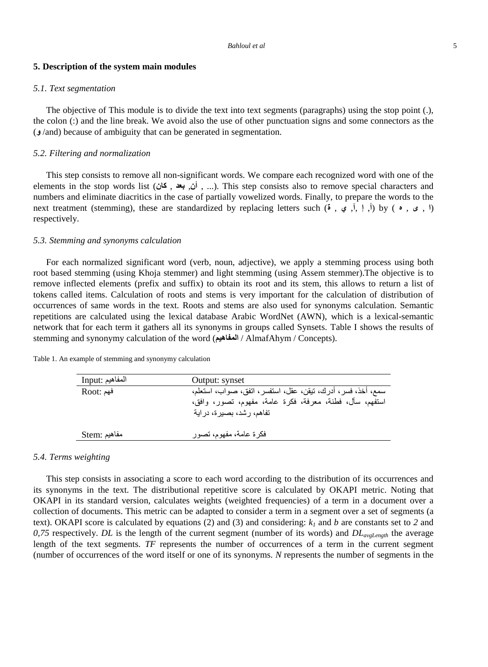## **5. Description of the system main modules**

#### *5.1. Text segmentation*

The objective of This module is to divide the text into text segments (paragraphs) using the stop point (.), the colon (:) and the line break. We avoid also the use of other punctuation signs and some connectors as the (**و** /and) because of ambiguity that can be generated in segmentation.

# *5.2. Filtering and normalization*

This step consists to remove all non-significant words. We compare each recognized word with one of the elements in the stop words list (*أ*نْ , بعد , أنَّ). This step consists also to remove special characters and numbers and eliminate diacritics in the case of partially vowelized words. Finally, to prepare the words to the next treatment (stemming), these are standardized by replacing letters such (**ة** , **ي** ,**آ**, **إ** ,**أ** (by ( **ه** , **ى** , **ا** ( respectively.

## *5.3. Stemming and synonyms calculation*

For each normalized significant word (verb, noun, adjective), we apply a stemming process using both root based stemming (using Khoja stemmer) and light stemming (using Assem stemmer).The objective is to remove inflected elements (prefix and suffix) to obtain its root and its stem, this allows to return a list of tokens called items. Calculation of roots and stems is very important for the calculation of distribution of occurrences of same words in the text. Roots and stems are also used for synonyms calculation. Semantic repetitions are calculated using the lexical database Arabic WordNet (AWN), which is a lexical-semantic network that for each term it gathers all its synonyms in groups called Synsets. Table I shows the results of stemming and synonymy calculation of the word (**المفاهيم** / AlmafAhym / Concepts).

| المفاهيم :Input | Output: synset                                              |
|-----------------|-------------------------------------------------------------|
| فهم :Root       | سمع، أخذ، فسر، أدرك، تيقن، عقل، استفسر، اتفق، صواب، استعلم، |
|                 | استفهم، سأل، فطنة، معرفة، فكرة عامة، مفهوم، تصور، وافق،     |
|                 | تفاهم، رشد، بصيرة، دراية                                    |
|                 |                                                             |
| مفاهيم :Stem    | فكرة عامة، مفهوم، تصور                                      |

Table 1. An example of stemming and synonymy calculation

#### *5.4. Terms weighting*

This step consists in associating a score to each word according to the distribution of its occurrences and its synonyms in the text. The distributional repetitive score is calculated by OKAPI metric. Noting that OKAPI in its standard version, calculates weights (weighted frequencies) of a term in a document over a collection of documents. This metric can be adapted to consider a term in a segment over a set of segments (a text). OKAPI score is calculated by equations (2) and (3) and considering:  $k_l$  and *b* are constants set to 2 and *0,75* respectively. *DL* is the length of the current segment (number of its words) and *DLavgLength* the average length of the text segments. *TF* represents the number of occurrences of a term in the current segment (number of occurrences of the word itself or one of its synonyms. *N* represents the number of segments in the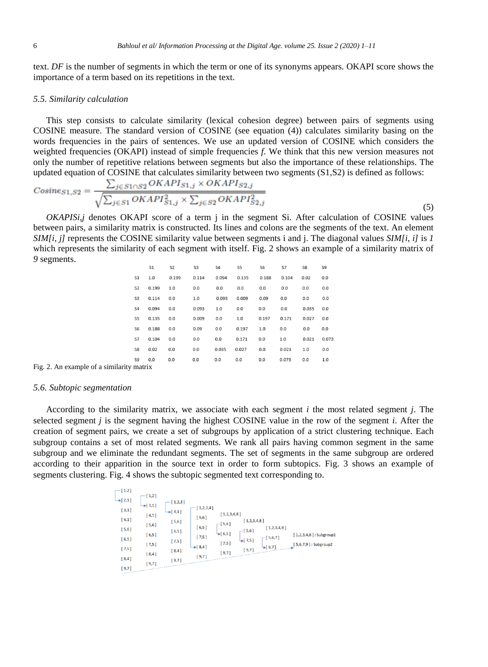text. *DF* is the number of segments in which the term or one of its synonyms appears. OKAPI score shows the importance of a term based on its repetitions in the text.

## *5.5. Similarity calculation*

This step consists to calculate similarity (lexical cohesion degree) between pairs of segments using COSINE measure. The standard version of COSINE (see equation (4)) calculates similarity basing on the words frequencies in the pairs of sentences. We use an updated version of COSINE which considers the weighted frequencies (OKAPI) instead of simple frequencies *f*. We think that this new version measures not only the number of repetitive relations between segments but also the importance of these relationships. The updated equation of COSINE that calculates similarity between two segments (S1,S2) is defined as follows:

$$
Cosines_{1,S2} = \frac{\sum_{j \in S1 \cap S2} OKAPI_{S1,j} \times OKAPI_{S2,j}}{\sqrt{\sum_{j \in S1} OKAPI_{S1,j}^2 \times \sum_{j \in S2} OKAPI_{S2,j}^2}}
$$
\n
$$
(5)
$$

*OKAPISi,j* denotes OKAPI score of a term j in the segment Si. After calculation of COSINE values between pairs, a similarity matrix is constructed. Its lines and colons are the segments of the text. An element *SIM[i, j]* represents the COSINE similarity value between segments i and j. The diagonal values *SIM[i, i]* is *1* which represents the similarity of each segment with itself. Fig. 2 shows an example of a similarity matrix of *9* segments.

|                | S1    | S <sub>2</sub> | S <sub>3</sub> | S <sub>4</sub> | S5    | S6    | S7    | S8    | S9    |
|----------------|-------|----------------|----------------|----------------|-------|-------|-------|-------|-------|
| S <sub>1</sub> | 1.0   | 0.199          | 0.114          | 0.094          | 0.135 | 0.188 | 0.104 | 0.02  | 0.0   |
| S <sub>2</sub> | 0.199 | 1.0            | 0.0            | 0.0            | 0.0   | 0.0   | 0.0   | 0.0   | 0.0   |
| S <sub>3</sub> | 0.114 | 0.0            | 1.0            | 0.093          | 0.009 | 0.09  | 0.0   | 0.0   | 0.0   |
| S <sub>4</sub> | 0.094 | 0.0            | 0.093          | 1.0            | 0.0   | 0.0   | 0.0   | 0.035 | 0.0   |
| S5             | 0.135 | 0.0            | 0.009          | 0.0            | 1.0   | 0.197 | 0.171 | 0.027 | 0.0   |
| S6             | 0.188 | 0.0            | 0.09           | 0.0            | 0.197 | 1.0   | 0.0   | 0.0   | 0.0   |
| S7             | 0.104 | 0.0            | 0.0            | 0.0            | 0.171 | 0.0   | 1.0   | 0.021 | 0.073 |
| S8             | 0.02  | 0.0            | 0.0            | 0.035          | 0.027 | 0.0   | 0.021 | 1.0   | 0.0   |
| S9             | 0.0   | 0.0            | 0.0            | 0.0            | 0.0   | 0.0   | 0.073 | 0.0   | 1.0   |
|                |       |                |                |                |       |       |       |       |       |

Fig. 2. An example of a similarity matrix

#### *5.6. Subtopic segmentation*

According to the similarity matrix, we associate with each segment *i* the most related segment *j*. The selected segment *j* is the segment having the highest COSINE value in the row of the segment *i*. After the creation of segment pairs, we create a set of subgroups by application of a strict clustering technique. Each subgroup contains a set of most related segments. We rank all pairs having common segment in the same subgroup and we eliminate the redundant segments. The set of segments in the same subgroup are ordered according to their apparition in the source text in order to form subtopics. Fig. 3 shows an example of segments clustering. Fig. 4 shows the subtopic segmented text corresponding to.

| $-[1,2]$<br>$\rightarrow$ [ 2,1 ]<br>[3,1]<br>[4,1]<br>$[5,6]$<br>$[6,5]$<br>[7,5]<br>[8,4] | $[1,2]$<br>$\rightarrow$ [ 3,1]<br>$[4,1]$<br>[5,6]<br>$[6,5]$<br>$[7,5]$<br>[8,4]<br>$[9,7]$ | $1,2,3$ ]<br>$\rightarrow$ [4,1]<br>$[5,6]$<br>[6,5]<br>$[7,5]$<br>$[8,4]$<br>[9,7] | $1,2,3,4$ ]<br>[5,6]<br>[6,5]<br>$[7,5]$<br>$\rightarrow$ [8,4]<br>9,71 | [1,2,3,4,8]<br>$-[5,6]$<br>$\blacktriangleright$ [ 6,5]<br>$[7,5]$<br>[9,7] | [1,2,3,4,8]<br>$-[5,6]$<br>$\bigcup$ 7,5]<br>[9,7] | [1,2,3,4,8]<br>$-[5,6,7]$<br>$-19.71$ | $[1,2,3,4,8]$ : Subgroup1<br>$[5,6,7,9]$ : Subgroup2 |
|---------------------------------------------------------------------------------------------|-----------------------------------------------------------------------------------------------|-------------------------------------------------------------------------------------|-------------------------------------------------------------------------|-----------------------------------------------------------------------------|----------------------------------------------------|---------------------------------------|------------------------------------------------------|
| [9,7]                                                                                       |                                                                                               |                                                                                     |                                                                         |                                                                             |                                                    |                                       |                                                      |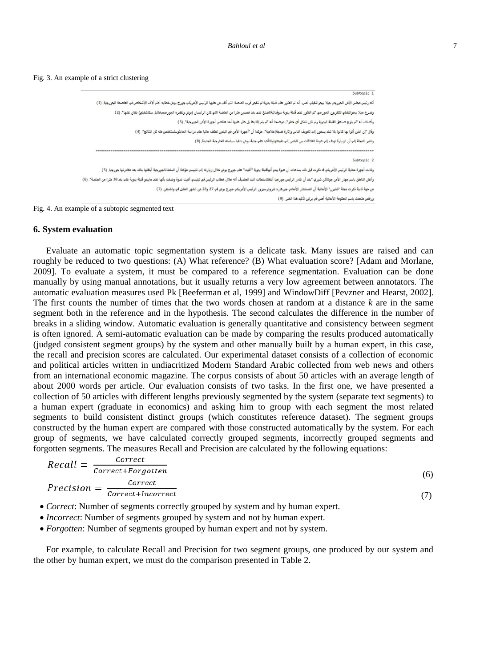| Subtopic 1                                                                                                                                                                                                                     |
|--------------------------------------------------------------------------------------------------------------------------------------------------------------------------------------------------------------------------------|
| أكدرنيس مجلس الأمن الجورجي جيلا بيجواشفيلي أمس، أنه تم الطور على قنية تقيم تقيم القراء وتقال المراس الأمريكي جورج بوش خطابه أمام آلاف الأشخاص في العاصمة الجورجية. (1)                                                         |
| وصرح جيلا بيجواشفيلو للتلفريون الجورجو "تم العثور على قنبة يدوية سوفياتيةالصنع على بعد من الصلاء التي التي كان الرئيسان (بوش ونظيره الجورجيميخائيل سكاشفيلو) يقفان عليها". (2)                                                 |
| وأضاف أنه "لم ينرع صاعق القبلة اليدوية ولم تكن تشكل أي خطر"، موضحا أنه "لم يتم إلقاءها بل عثر عليها أحد عناصر أجهزة الأمن الجورجية". (3)                                                                                       |
| وقال "إن الذين أتوا بها كانوا بلا شك يسعون إلى تخويف الناس وإثارة ضجة[علامية"، مؤكدا أن "أجهرة الأمن في البلدين تعكف حاليا على دراسة الحادثوستستخلص منه كل النتائج". (4)                                                       |
| وتشير المجلة إلى أن الزيارة تهدف إلى عودة العلاقات بين البلدين إلى طبيعتهاوالتأكيد على جدية بوش بتنفيذ سياسته الخارجية الجديدة. (8)                                                                                            |
|                                                                                                                                                                                                                                |
| Subtopic 2                                                                                                                                                                                                                     |
| وكانت أجهزة حماية الرئيس الأمريكياقد نكرت قبل ذلك بساعات أن عبوة يبنو أنهائها يدوية القيت تعاهد والتحالي والمع التيسي مؤكدة أن السلطانالجورجية أبلغتها بذلك بعد مغادرتها جروجيا والغربية أبلغتها بذلك بعد مغادرتها جورجيا. (5) |
| وأعلن الناطق باسم جهاز الأمن جرائاثل شيري "بعد أن غادر الرئيس جررجيا أبلغتناسلطات البلد الفعال الملاء الماسع والمعالي ألقيت عبوة وصفت بأنها على مايبدو قنبة يديبة على بعد30 مترا من المنصة". (6)                               |
| من جهة ثانية ذكرت مجلة "شتيرن" الألمانية أن المستشار الألماني جيرهارد شرودرسيرور الرئيس الأمريكي جورج بوش في 27 و28 من الشهر المقبل في واشنطن. (7)                                                                             |
| ورفَض متحدث باسم الحكومة الألمانية أمس في برلين تأكيد هذا الخبر. (9)                                                                                                                                                           |

Fig. 4. An example of a subtopic segmented text

#### **6. System evaluation**

Evaluate an automatic topic segmentation system is a delicate task. Many issues are raised and can roughly be reduced to two questions: (A) What reference? (B) What evaluation score? [Adam and Morlane, 2009]. To evaluate a system, it must be compared to a reference segmentation. Evaluation can be done manually by using manual annotations, but it usually returns a very low agreement between annotators. The automatic evaluation measures used Pk [Beeferman et al, 1999] and WindowDiff [Pevzner and Hearst, 2002]. The first counts the number of times that the two words chosen at random at a distance *k* are in the same segment both in the reference and in the hypothesis. The second calculates the difference in the number of breaks in a sliding window. Automatic evaluation is generally quantitative and consistency between segment is often ignored. A semi-automatic evaluation can be made by comparing the results produced automatically (judged consistent segment groups) by the system and other manually built by a human expert, in this case, the recall and precision scores are calculated. Our experimental dataset consists of a collection of economic and political articles written in undiacritized Modern Standard Arabic collected from web news and others from an international economic magazine. The corpus consists of about 50 articles with an average length of about 2000 words per article. Our evaluation consists of two tasks. In the first one, we have presented a collection of 50 articles with different lengths previously segmented by the system (separate text segments) to a human expert (graduate in economics) and asking him to group with each segment the most related segments to build consistent distinct groups (which constitutes reference dataset). The segment groups constructed by the human expert are compared with those constructed automatically by the system. For each group of segments, we have calculated correctly grouped segments, incorrectly grouped segments and forgotten segments. The measures Recall and Precision are calculated by the following equations:

$$
Recall = \frac{correct}{correct + forgotten}
$$
  
\n
$$
Precision = \frac{correct}{correct + incorrect}
$$
 (6) (7)

- *Correct*: Number of segments correctly grouped by system and by human expert.
- *Incorrect*: Number of segments grouped by system and not by human expert.
- *Forgotten*: Number of segments grouped by human expert and not by system.

For example, to calculate Recall and Precision for two segment groups, one produced by our system and the other by human expert, we must do the comparison presented in Table 2.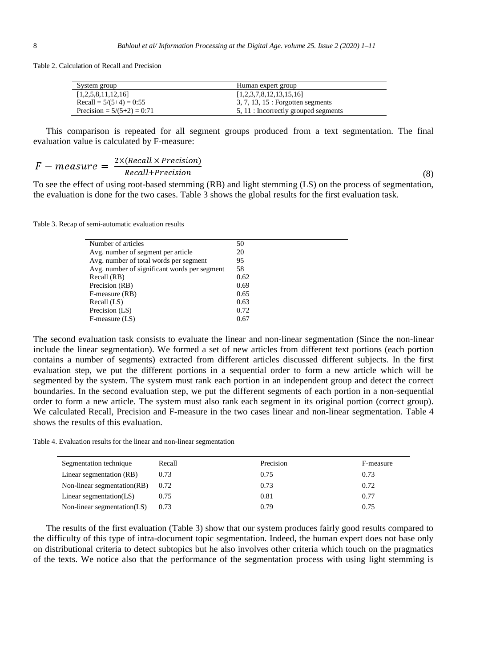Table 2. Calculation of Recall and Precision

| System group                 | Human expert group                   |
|------------------------------|--------------------------------------|
| [1,2,5,8,11,12,16]           | [1,2,3,7,8,12,13,15,16]              |
| Recall = $5/(5+4) = 0:55$    | $3, 7, 13, 15$ : Forgotten segments  |
| Precision = $5/(5+2) = 0:71$ | 5, 11 : Incorrectly grouped segments |

This comparison is repeated for all segment groups produced from a text segmentation. The final evaluation value is calculated by F-measure:

$$
F-measure = \frac{2 \times (Recall \times Precision)}{Recall+Precision}
$$

(8)

To see the effect of using root-based stemming (RB) and light stemming (LS) on the process of segmentation, the evaluation is done for the two cases. Table 3 shows the global results for the first evaluation task.

Table 3. Recap of semi-automatic evaluation results

| Number of articles                           | 50   |
|----------------------------------------------|------|
| Avg. number of segment per article           | 20   |
| Avg. number of total words per segment       | 95   |
| Avg. number of significant words per segment | 58   |
| Recall (RB)                                  | 0.62 |
| Precision (RB)                               | 0.69 |
| F-measure (RB)                               | 0.65 |
| Recall (LS)                                  | 0.63 |
| Precision (LS)                               | 0.72 |
| $F$ -measure $(LS)$                          | 0.67 |
|                                              |      |

The second evaluation task consists to evaluate the linear and non-linear segmentation (Since the non-linear include the linear segmentation). We formed a set of new articles from different text portions (each portion contains a number of segments) extracted from different articles discussed different subjects. In the first evaluation step, we put the different portions in a sequential order to form a new article which will be segmented by the system. The system must rank each portion in an independent group and detect the correct boundaries. In the second evaluation step, we put the different segments of each portion in a non-sequential order to form a new article. The system must also rank each segment in its original portion (correct group). We calculated Recall, Precision and F-measure in the two cases linear and non-linear segmentation. Table 4 shows the results of this evaluation.

Table 4. Evaluation results for the linear and non-linear segmentation

| Segmentation technique      | Recall | Precision | F-measure |
|-----------------------------|--------|-----------|-----------|
| Linear segmentation (RB)    | 0.73   | 0.75      | 0.73      |
| Non-linear segmentation(RB) | 0.72   | 0.73      | 0.72      |
| Linear segmentation $(LS)$  | 0.75   | 0.81      | 0.77      |
| Non-linear segmentation(LS) | 0.73   | 0.79      | 0.75      |

The results of the first evaluation (Table 3) show that our system produces fairly good results compared to the difficulty of this type of intra-document topic segmentation. Indeed, the human expert does not base only on distributional criteria to detect subtopics but he also involves other criteria which touch on the pragmatics of the texts. We notice also that the performance of the segmentation process with using light stemming is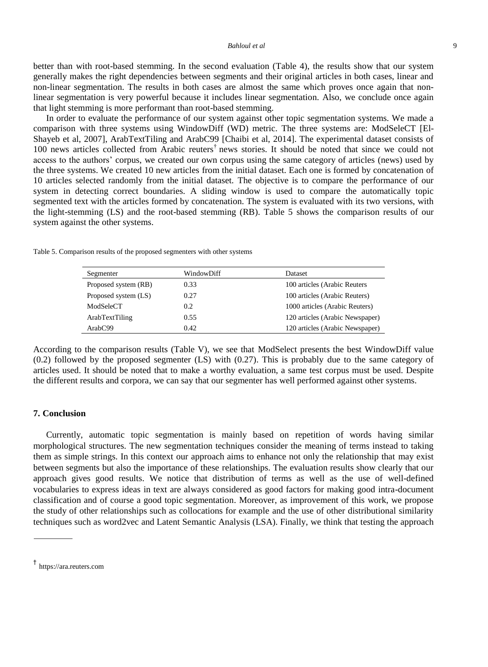#### *Bahloul et al* 9

better than with root-based stemming. In the second evaluation (Table 4), the results show that our system generally makes the right dependencies between segments and their original articles in both cases, linear and non-linear segmentation. The results in both cases are almost the same which proves once again that nonlinear segmentation is very powerful because it includes linear segmentation. Also, we conclude once again that light stemming is more performant than root-based stemming.

In order to evaluate the performance of our system against other topic segmentation systems. We made a comparison with three systems using WindowDiff (WD) metric. The three systems are: ModSeleCT [El-Shayeb et al, 2007], ArabTextTiling and ArabC99 [Chaibi et al, 2014]. The experimental dataset consists of 100 news articles collected from Arabic reuters† news stories. It should be noted that since we could not access to the authors' corpus, we created our own corpus using the same category of articles (news) used by the three systems. We created 10 new articles from the initial dataset. Each one is formed by concatenation of 10 articles selected randomly from the initial dataset. The objective is to compare the performance of our system in detecting correct boundaries. A sliding window is used to compare the automatically topic segmented text with the articles formed by concatenation. The system is evaluated with its two versions, with the light-stemming (LS) and the root-based stemming (RB). Table 5 shows the comparison results of our system against the other systems.

|  |  |  |  | Table 5. Comparison results of the proposed segmenters with other systems |  |  |  |
|--|--|--|--|---------------------------------------------------------------------------|--|--|--|
|--|--|--|--|---------------------------------------------------------------------------|--|--|--|

| Segmenter            | WindowDiff | Dataset                         |
|----------------------|------------|---------------------------------|
| Proposed system (RB) | 0.33       | 100 articles (Arabic Reuters)   |
| Proposed system (LS) | 0.27       | 100 articles (Arabic Reuters)   |
| ModSeleCT            | 0.2        | 1000 articles (Arabic Reuters)  |
| ArabTextTiling       | 0.55       | 120 articles (Arabic Newspaper) |
| ArabC99              | 0.42       | 120 articles (Arabic Newspaper) |

According to the comparison results (Table V), we see that ModSelect presents the best WindowDiff value (0.2) followed by the proposed segmenter (LS) with (0.27). This is probably due to the same category of articles used. It should be noted that to make a worthy evaluation, a same test corpus must be used. Despite the different results and corpora, we can say that our segmenter has well performed against other systems.

## **7. Conclusion**

Currently, automatic topic segmentation is mainly based on repetition of words having similar morphological structures. The new segmentation techniques consider the meaning of terms instead to taking them as simple strings. In this context our approach aims to enhance not only the relationship that may exist between segments but also the importance of these relationships. The evaluation results show clearly that our approach gives good results. We notice that distribution of terms as well as the use of well-defined vocabularies to express ideas in text are always considered as good factors for making good intra-document classification and of course a good topic segmentation. Moreover, as improvement of this work, we propose the study of other relationships such as collocations for example and the use of other distributional similarity techniques such as word2vec and Latent Semantic Analysis (LSA). Finally, we think that testing the approach

<sup>†</sup> https://ara.reuters.com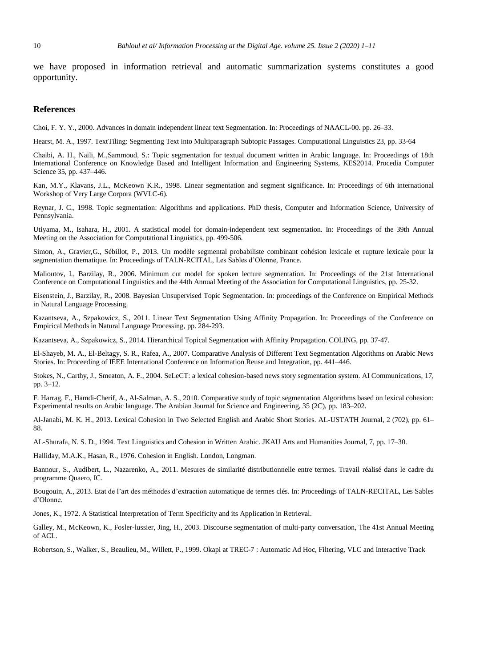we have proposed in information retrieval and automatic summarization systems constitutes a good opportunity.

#### **References**

Choi, F. Y. Y., 2000. Advances in domain independent linear text Segmentation. In: Proceedings of NAACL-00. pp. 26–33.

Hearst, M. A., 1997. TextTiling: Segmenting Text into Multiparagraph Subtopic Passages. Computational Linguistics 23, pp. 33-64

Chaibi, A. H., Naili, M.,Sammoud, S.: Topic segmentation for textual document written in Arabic language. In: Proceedings of 18th International Conference on Knowledge Based and Intelligent Information and Engineering Systems, KES2014. Procedia Computer Science 35, pp. 437–446.

Kan, M.Y., Klavans, J.L., McKeown K.R., 1998. Linear segmentation and segment significance. In: Proceedings of 6th international Workshop of Very Large Corpora (WVLC-6).

Reynar, J. C., 1998. Topic segmentation: Algorithms and applications. PhD thesis, Computer and Information Science, University of Pennsylvania.

Utiyama, M., Isahara, H., 2001. A statistical model for domain-independent text segmentation. In: Proceedings of the 39th Annual Meeting on the Association for Computational Linguistics, pp. 499-506.

Simon, A., Gravier,G., Sébillot, P., 2013. Un modèle segmental probabiliste combinant cohésion lexicale et rupture lexicale pour la segmentation thematique. In: Proceedings of TALN-RCITAL, Les Sables d'Olonne, France.

Malioutov, I., Barzilay, R., 2006. Minimum cut model for spoken lecture segmentation. In: Proceedings of the 21st International Conference on Computational Linguistics and the 44th Annual Meeting of the Association for Computational Linguistics, pp. 25-32.

Eisenstein, J., Barzilay, R., 2008. Bayesian Unsupervised Topic Segmentation. In: proceedings of the Conference on Empirical Methods in Natural Language Processing.

Kazantseva, A., Szpakowicz, S., 2011. Linear Text Segmentation Using Affinity Propagation. In: Proceedings of the Conference on Empirical Methods in Natural Language Processing, pp. 284-293.

Kazantseva, A., Szpakowicz, S., 2014. Hierarchical Topical Segmentation with Affinity Propagation. COLING, pp. 37-47.

El-Shayeb, M. A., El-Beltagy, S. R., Rafea, A., 2007. Comparative Analysis of Different Text Segmentation Algorithms on Arabic News Stories. In: Proceeding of IEEE International Conference on Information Reuse and Integration, pp. 441–446.

Stokes, N., Carthy, J., Smeaton, A. F., 2004. SeLeCT: a lexical cohesion-based news story segmentation system. AI Communications, 17, pp. 3–12.

F. Harrag, F., Hamdi-Cherif, A., Al-Salman, A. S., 2010. Comparative study of topic segmentation Algorithms based on lexical cohesion: Experimental results on Arabic language. The Arabian Journal for Science and Engineering, 35 (2C), pp. 183–202.

Al-Janabi, M. K. H., 2013. Lexical Cohesion in Two Selected English and Arabic Short Stories. AL-USTATH Journal, 2 (702), pp. 61– 88.

AL-Shurafa, N. S. D., 1994. Text Linguistics and Cohesion in Written Arabic. JKAU Arts and Humanities Journal, 7, pp. 17–30.

Halliday, M.A.K., Hasan, R., 1976. Cohesion in English. London, Longman.

Bannour, S., Audibert, L., Nazarenko, A., 2011. Mesures de similarité distributionnelle entre termes. Travail réalisé dans le cadre du programme Quaero, IC.

Bougouin, A., 2013. Etat de l'art des méthodes d'extraction automatique de termes clés. In: Proceedings of TALN-RECITAL, Les Sables d'Olonne.

Jones, K., 1972. A Statistical Interpretation of Term Specificity and its Application in Retrieval.

Galley, M., McKeown, K., Fosler-lussier, Jing, H., 2003. Discourse segmentation of multi-party conversation, The 41st Annual Meeting of ACL.

Robertson, S., Walker, S., Beaulieu, M., Willett, P., 1999. Okapi at TREC-7 : Automatic Ad Hoc, Filtering, VLC and Interactive Track